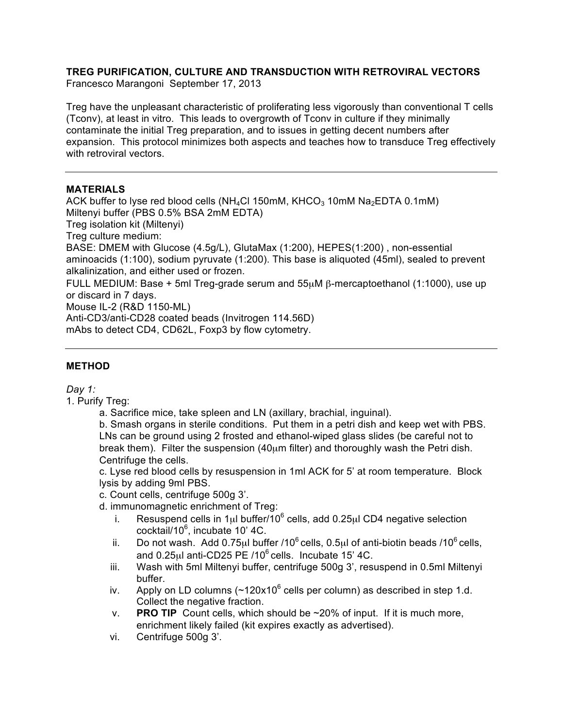# **TREG PURIFICATION, CULTURE AND TRANSDUCTION WITH RETROVIRAL VECTORS**

Francesco Marangoni September 17, 2013

Treg have the unpleasant characteristic of proliferating less vigorously than conventional T cells (Tconv), at least in vitro. This leads to overgrowth of Tconv in culture if they minimally contaminate the initial Treg preparation, and to issues in getting decent numbers after expansion. This protocol minimizes both aspects and teaches how to transduce Treg effectively with retroviral vectors.

### **MATERIALS**

ACK buffer to lyse red blood cells (NH<sub>4</sub>Cl 150mM, KHCO<sub>3</sub> 10mM Na<sub>2</sub>EDTA 0.1mM) Miltenyi buffer (PBS 0.5% BSA 2mM EDTA) Treg isolation kit (Miltenyi) Treg culture medium: BASE: DMEM with Glucose (4.5g/L), GlutaMax (1:200), HEPES(1:200) , non-essential aminoacids (1:100), sodium pyruvate (1:200). This base is aliquoted (45ml), sealed to prevent alkalinization, and either used or frozen. FULL MEDIUM: Base + 5ml Treg-grade serum and 55µM β-mercaptoethanol (1:1000), use up or discard in 7 days. Mouse IL-2 (R&D 1150-ML) Anti-CD3/anti-CD28 coated beads (Invitrogen 114.56D) mAbs to detect CD4, CD62L, Foxp3 by flow cytometry.

### **METHOD**

### *Day 1:*

1. Purify Treg:

a. Sacrifice mice, take spleen and LN (axillary, brachial, inguinal).

b. Smash organs in sterile conditions. Put them in a petri dish and keep wet with PBS. LNs can be ground using 2 frosted and ethanol-wiped glass slides (be careful not to break them). Filter the suspension (40µm filter) and thoroughly wash the Petri dish. Centrifuge the cells.

c. Lyse red blood cells by resuspension in 1ml ACK for 5' at room temperature. Block lysis by adding 9ml PBS.

c. Count cells, centrifuge 500g 3'.

d. immunomagnetic enrichment of Treg:

- i. Resuspend cells in 1 $\mu$ l buffer/10<sup>6</sup> cells, add 0.25 $\mu$ l CD4 negative selection cocktail/10<sup>6</sup>, incubate 10' 4C.
- ii. Do not wash. Add 0.75 $\mu$ l buffer /10<sup>6</sup> cells, 0.5 $\mu$ l of anti-biotin beads /10<sup>6</sup> cells, and  $0.25$ <sub>ul</sub> anti-CD25 PE /10 $^6$  cells. Incubate 15' 4C.
- iii. Wash with 5ml Miltenyi buffer, centrifuge 500g 3', resuspend in 0.5ml Miltenyi buffer.
- iv. Apply on LD columns  $({\sim}120x10^6$  cells per column) as described in step 1.d. Collect the negative fraction.
- v. **PRO TIP** Count cells, which should be ~20% of input. If it is much more, enrichment likely failed (kit expires exactly as advertised).
- vi. Centrifuge 500g 3'.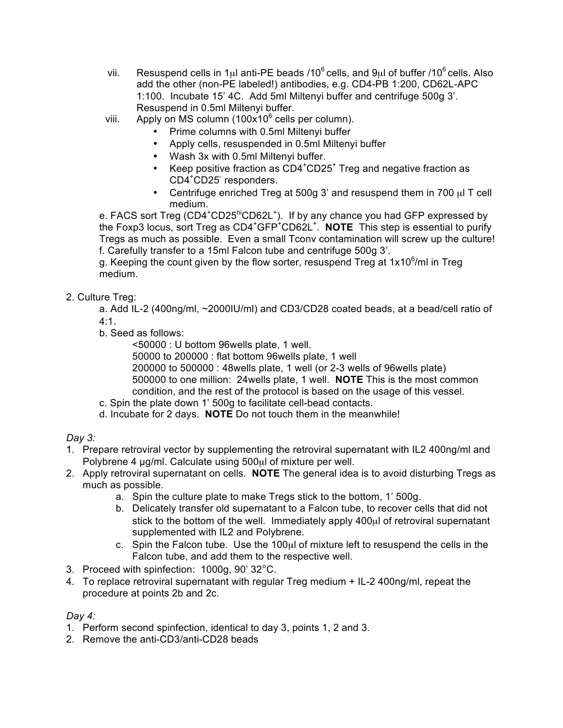- vii. Resuspend cells in 1 $\mu$ l anti-PE beads /10<sup>6</sup> cells, and 9 $\mu$ l of buffer /10<sup>6</sup> cells. Also add the other (non-PE labeled!) antibodies, e.g. CD4-PB 1:200, CD62L-APC 1:100. Incubate 15' 4C. Add 5ml Miltenyi buffer and centrifuge 500g 3'. Resuspend in 0.5ml Miltenyi buffer.
- viii. Apply on MS column (100x10 $^6$  cells per column).
	- Prime columns with 0.5ml Miltenyi buffer
	- Apply cells, resuspended in 0.5ml Miltenyi buffer
	- Wash 3x with 0.5ml Miltenyi buffer.
	- Keep positive fraction as CD4<sup>+</sup>CD25<sup>+</sup> Treg and negative fraction as CD4<sup>+</sup> CD25- responders.
	- Centrifuge enriched Treg at 500g 3' and resuspend them in 700  $\mu$ I T cell medium.

e. FACS sort Treg (CD4<sup>+</sup>CD25<sup>hi</sup>CD62L<sup>+</sup>). If by any chance you had GFP expressed by the Foxp3 locus, sort Treg as CD4<sup>+</sup>GFP<sup>+</sup>CD62L<sup>+</sup>. **NOTE** This step is essential to purify Tregs as much as possible. Even a small Tconv contamination will screw up the culture! f. Carefully transfer to a 15ml Falcon tube and centrifuge 500g 3'.

g. Keeping the count given by the flow sorter, resuspend Treg at 1x10 $6/$ ml in Treg medium.

# 2. Culture Treg:

a. Add IL-2 (400ng/ml, ~2000IU/ml) and CD3/CD28 coated beads, at a bead/cell ratio of 4:1.

b. Seed as follows:

<50000 : U bottom 96wells plate, 1 well.

50000 to 200000 : flat bottom 96wells plate, 1 well 200000 to 500000 : 48wells plate, 1 well (or 2-3 wells of 96wells plate) 500000 to one million: 24wells plate, 1 well. **NOTE** This is the most common

- condition, and the rest of the protocol is based on the usage of this vessel.
- c. Spin the plate down 1' 500g to facilitate cell-bead contacts.
- d. Incubate for 2 days. **NOTE** Do not touch them in the meanwhile!

# *Day 3:*

- 1. Prepare retroviral vector by supplementing the retroviral supernatant with IL2 400ng/ml and Polybrene 4 µg/ml. Calculate using 500µl of mixture per well.
- 2. Apply retroviral supernatant on cells. **NOTE** The general idea is to avoid disturbing Tregs as much as possible.
	- a. Spin the culture plate to make Tregs stick to the bottom, 1' 500g.
	- b. Delicately transfer old supernatant to a Falcon tube, to recover cells that did not stick to the bottom of the well. Immediately apply 400 $\mu$ l of retroviral supernatant supplemented with IL2 and Polybrene.
	- c. Spin the Falcon tube. Use the 100µl of mixture left to resuspend the cells in the Falcon tube, and add them to the respective well.
- 3. Proceed with spinfection: 1000g, 90' 32°C.
- 4. To replace retroviral supernatant with regular Treg medium + IL-2 400ng/ml, repeat the procedure at points 2b and 2c.

### *Day 4:*

- 1. Perform second spinfection, identical to day 3, points 1, 2 and 3.
- 2. Remove the anti-CD3/anti-CD28 beads